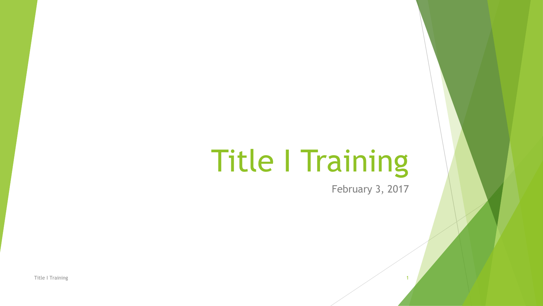# Title I Training

February 3, 2017

Title I Training 2008 12:00 the state of the state of the state of the state of the state of the state of the state of the state of the state of the state of the state of the state of the state of the state of the state of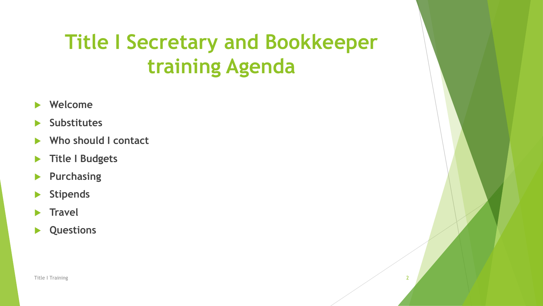# **Title I Secretary and Bookkeeper training Agenda**

- **Welcome**
- **Substitutes**
- **Who should I contact**
- **Title I Budgets**
- **Purchasing**
- **Stipends**
- **Travel**
- **Questions**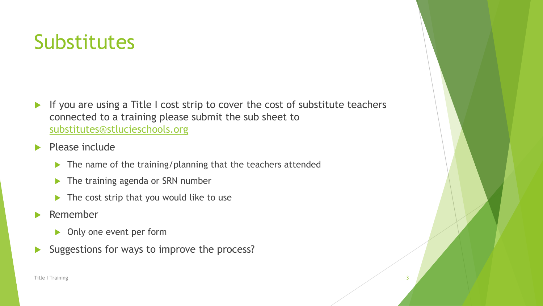## **Substitutes**

- If you are using a Title I cost strip to cover the cost of substitute teachers connected to a training please submit the sub sheet to [substitutes@stlucieschools.org](mailto:substitutes@stlucieschools.org)
- Please include
	- $\blacktriangleright$  The name of the training/planning that the teachers attended
	- The training agenda or SRN number
	- $\blacktriangleright$  The cost strip that you would like to use
- **Remember** 
	- **Diamage 1 Only one event per form**
- Suggestions for ways to improve the process?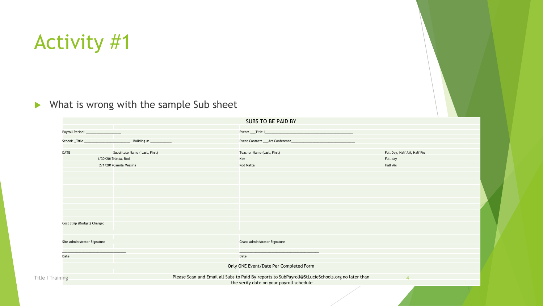#### Activity #1

#### $\blacktriangleright$  What is wrong with the sample Sub sheet

|                                        |                               | SUBS TO BE PAID BY                                                                               |                            |
|----------------------------------------|-------------------------------|--------------------------------------------------------------------------------------------------|----------------------------|
| Payroll Period: ______________________ |                               |                                                                                                  |                            |
|                                        |                               | Event Contact: ___ Art Conference____                                                            |                            |
| <b>DATE</b>                            | Substitute Name (Last, First) | Teacher Name (Last, First)                                                                       | Full Day, Half AM, Half PM |
| 1/30/2017Natta, Rod                    |                               | Kim                                                                                              | Full day                   |
|                                        | 2/1/2017 Camila Messina       | <b>Rod Natta</b>                                                                                 | Half AM                    |
|                                        |                               |                                                                                                  |                            |
|                                        |                               |                                                                                                  |                            |
|                                        |                               |                                                                                                  |                            |
|                                        |                               |                                                                                                  |                            |
|                                        |                               |                                                                                                  |                            |
|                                        |                               |                                                                                                  |                            |
| Cost Strip (Budget) Charged            |                               |                                                                                                  |                            |
|                                        |                               |                                                                                                  |                            |
| Site Administrator Signature           |                               | <b>Grant Administrator Signature</b>                                                             |                            |
| Date                                   |                               | Date                                                                                             |                            |
|                                        |                               | Only ONE Event/Date Per Completed Form                                                           |                            |
|                                        |                               |                                                                                                  |                            |
| Title   Training                       |                               | Please Scan and Email all Subs to Paid By reports to SubPayroll@StLucieSchools.org no later than | $\boldsymbol{\Lambda}$     |
|                                        |                               | the verify date on your payroll schedule                                                         |                            |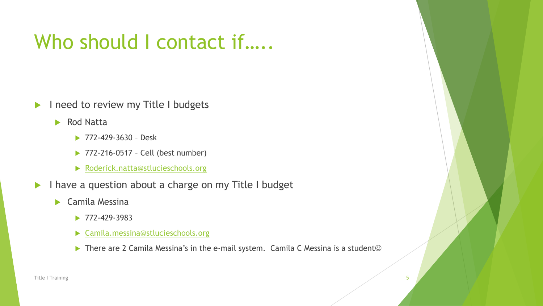#### Who should I contact if.....

- I need to review my Title I budgets
	- Rod Natta
		- **▶ 772-429-3630 Desk**
		- ▶ 772-216-0517 Cell (best number)
		- ▶ [Roderick.natta@stlucieschools.org](mailto:Roderick.natta@stlucieschools.org)
- I have a question about a charge on my Title I budget
	- Camila Messina
		- $\blacktriangleright$  772-429-3983
		- [Camila.messina@stlucieschools.org](mailto:Camila.messina@stlucieschools.org)
		- There are 2 Camila Messina's in the e-mail system. Camila C Messina is a student  $\odot$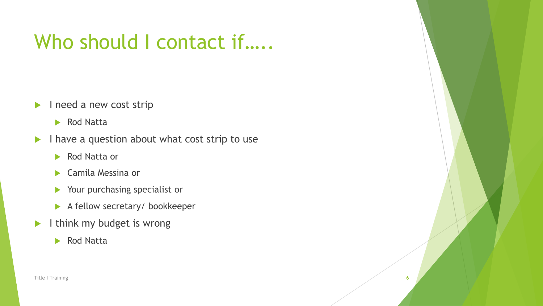#### Who should I contact if.....

- I need a new cost strip
	- Rod Natta
- $\blacktriangleright$  I have a question about what cost strip to use
	- Rod Natta or
	- ▶ Camila Messina or
	- Your purchasing specialist or
	- A fellow secretary/ bookkeeper
- I think my budget is wrong
	- Rod Natta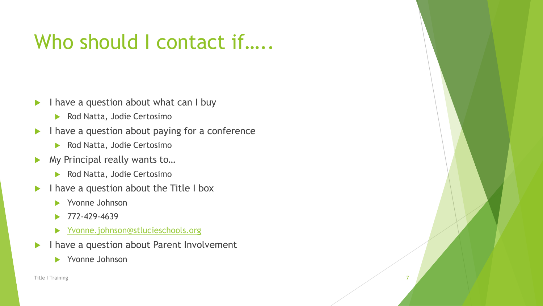#### Who should I contact if.....

- $\blacktriangleright$  I have a question about what can I buy
	- Rod Natta, Jodie Certosimo
- $\blacktriangleright$  I have a question about paying for a conference
	- Rod Natta, Jodie Certosimo
- ▶ My Principal really wants to...
	- Rod Natta, Jodie Certosimo
- $\blacktriangleright$  I have a question about the Title I box
	- Yvonne Johnson
	- 772-429-4639
	- ▶ [Yvonne.johnson@stlucieschools.org](mailto:Yvonne.johnson@stlucieschools.org)
- I have a question about Parent Involvement
	- Yvonne Johnson

Title I Training 7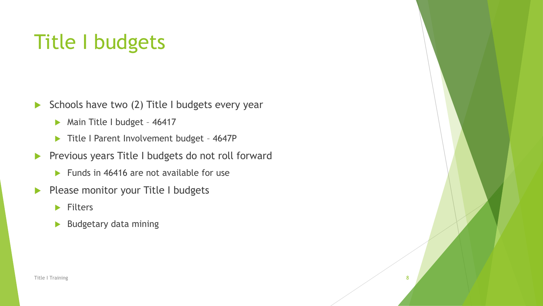# Title I budgets

- Schools have two  $(2)$  Title I budgets every year
	- Main Title I budget 46417
	- Title I Parent Involvement budget 4647P
- Previous years Title I budgets do not roll forward
	- $\blacktriangleright$  Funds in 46416 are not available for use
- Please monitor your Title I budgets
	- $\blacktriangleright$  Filters
	- **Budgetary data mining**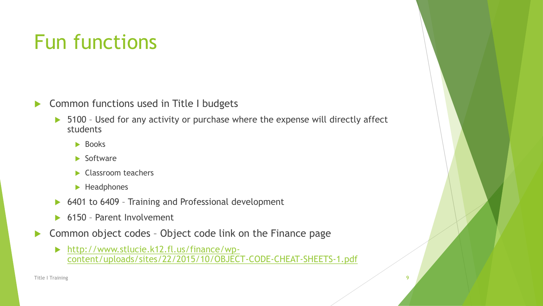# Fun functions

- **Common functions used in Title I budgets** 
	- ▶ 5100 Used for any activity or purchase where the expense will directly affect students
		- $\blacktriangleright$  Books
		- $\blacktriangleright$  Software
		- Classroom teachers
		- $\blacktriangleright$  Headphones
	- ▶ 6401 to 6409 Training and Professional development
	- ▶ 6150 Parent Involvement
- ▶ Common object codes Object code link on the Finance page
	- http://www.stlucie.k12.fl.us/finance/wp[content/uploads/sites/22/2015/10/OBJECT-CODE-CHEAT-SHEETS-1.pdf](http://www.stlucie.k12.fl.us/finance/wp-content/uploads/sites/22/2015/10/OBJECT-CODE-CHEAT-SHEETS-1.pdf)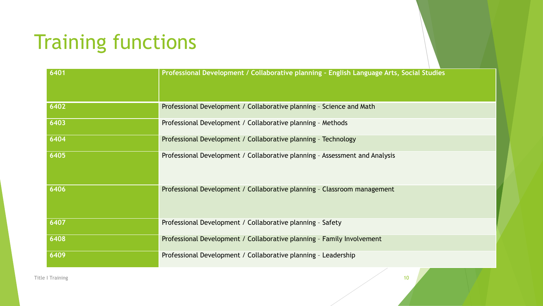# Training functions

| 6401 | Professional Development / Collaborative planning - English Language Arts, Social Studies |
|------|-------------------------------------------------------------------------------------------|
| 6402 | Professional Development / Collaborative planning - Science and Math                      |
| 6403 | Professional Development / Collaborative planning - Methods                               |
| 6404 | Professional Development / Collaborative planning - Technology                            |
| 6405 | Professional Development / Collaborative planning - Assessment and Analysis               |
| 6406 | Professional Development / Collaborative planning - Classroom management                  |
| 6407 | Professional Development / Collaborative planning - Safety                                |
| 6408 | Professional Development / Collaborative planning - Family Involvement                    |
| 6409 | Professional Development / Collaborative planning - Leadership                            |

Title I Training **10**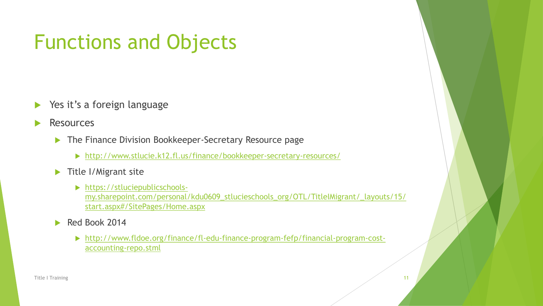# Functions and Objects

- Yes it's a foreign language
- **Resources** 
	- ▶ The Finance Division Bookkeeper-Secretary Resource page
		- <http://www.stlucie.k12.fl.us/finance/bookkeeper-secretary-resources/>
	- $\blacktriangleright$  Title I/Migrant site
		- https://stluciepublicschools[my.sharepoint.com/personal/kdu0609\\_stlucieschools\\_org/OTL/TitleIMigrant/\\_layouts/15/](https://stluciepublicschools-my.sharepoint.com/personal/kdu0609_stlucieschools_org/OTL/TitleIMigrant/_layouts/15/start.aspx#/SitePages/Home.aspx) start.aspx#/SitePages/Home.aspx
	- Red Book 2014
		- [http://www.fldoe.org/finance/fl-edu-finance-program-fefp/financial-program-cost](http://www.fldoe.org/finance/fl-edu-finance-program-fefp/financial-program-cost-accounting-repo.stml)accounting-repo.stml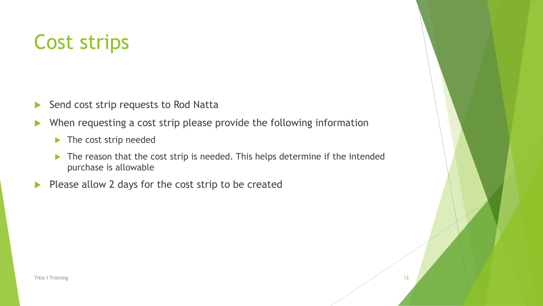## Cost strips

- Send cost strip requests to Rod Natta
- ▶ When requesting a cost strip please provide the following information
	- $\blacktriangleright$  The cost strip needed
	- The reason that the cost strip is needed. This helps determine if the intended purchase is allowable
- $\blacktriangleright$  Please allow 2 days for the cost strip to be created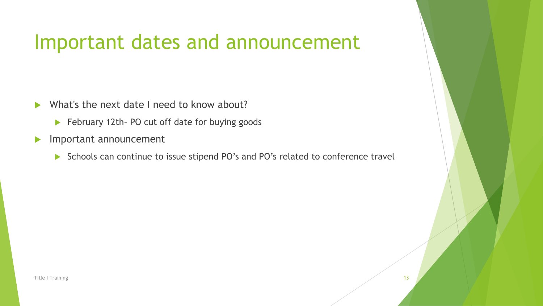#### Important dates and announcement

- What's the next date I need to know about?
	- ▶ February 12th- PO cut off date for buying goods
- Important announcement
	- Schools can continue to issue stipend PO's and PO's related to conference travel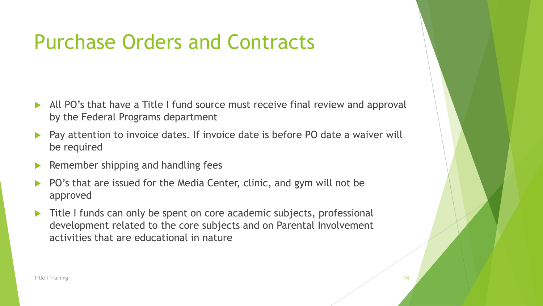- All PO's that have a Title I fund source must receive final review and approval by the Federal Programs department
- Pay attention to invoice dates. If invoice date is before PO date a waiver will be required
- Remember shipping and handling fees
- PO's that are issued for the Media Center, clinic, and gym will not be approved
- Title I funds can only be spent on core academic subjects, professional development related to the core subjects and on Parental Involvement activities that are educational in nature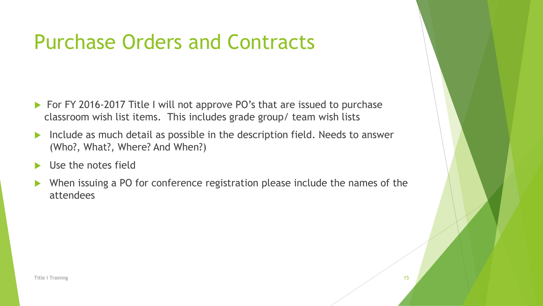- ▶ For FY 2016-2017 Title I will not approve PO's that are issued to purchase classroom wish list items. This includes grade group/ team wish lists
- Include as much detail as possible in the description field. Needs to answer (Who?, What?, Where? And When?)
- Use the notes field
- When issuing a PO for conference registration please include the names of the attendees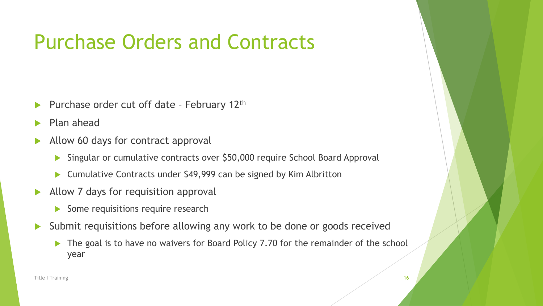- Purchase order cut off date February 12th
- Plan ahead
- Allow 60 days for contract approval
	- Singular or cumulative contracts over \$50,000 require School Board Approval
	- ▶ Cumulative Contracts under \$49,999 can be signed by Kim Albritton
- Allow 7 days for requisition approval
	- $\triangleright$  Some requisitions require research
- Submit requisitions before allowing any work to be done or goods received
	- The goal is to have no waivers for Board Policy 7.70 for the remainder of the school year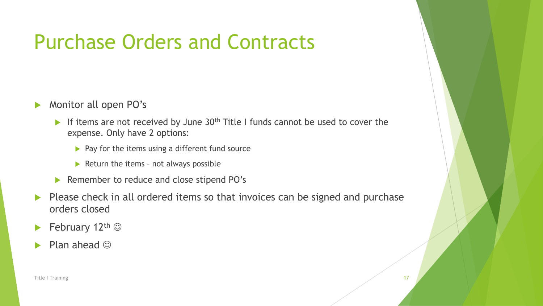- **Monitor all open PO's** 
	- If items are not received by June  $30<sup>th</sup>$  Title I funds cannot be used to cover the expense. Only have 2 options:
		- $\blacktriangleright$  Pay for the items using a different fund source
		- $\blacktriangleright$  Return the items not always possible
	- ▶ Remember to reduce and close stipend PO's
- Please check in all ordered items so that invoices can be signed and purchase orders closed
- February 12<sup>th</sup>  $\odot$
- Plan ahead  $\odot$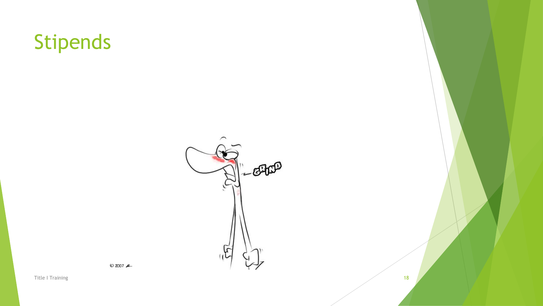



 $© 2007$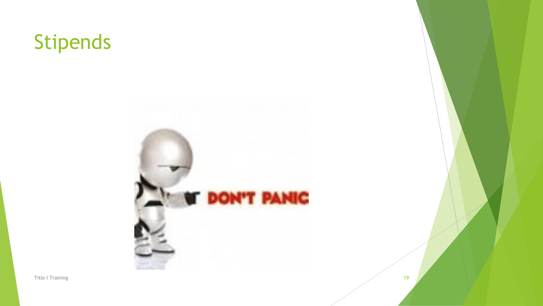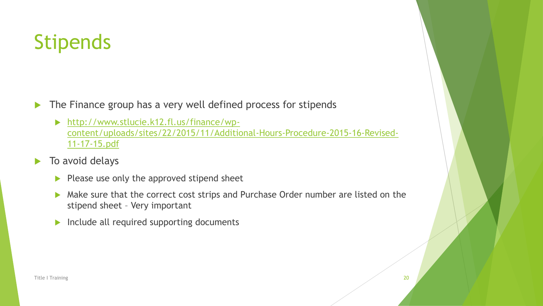- The Finance group has a very well defined process for stipends
	- ▶ http://www.stlucie.k12.fl.us/finance/wp[content/uploads/sites/22/2015/11/Additional-Hours-Procedure-2015-16-Revised-](http://www.stlucie.k12.fl.us/finance/wp-content/uploads/sites/22/2015/11/Additional-Hours-Procedure-2015-16-Revised-11-17-15.pdf)11-17-15.pdf
- $\blacktriangleright$  To avoid delays
	- $\blacktriangleright$  Please use only the approved stipend sheet
	- Make sure that the correct cost strips and Purchase Order number are listed on the stipend sheet – Very important
	- $\blacktriangleright$  Include all required supporting documents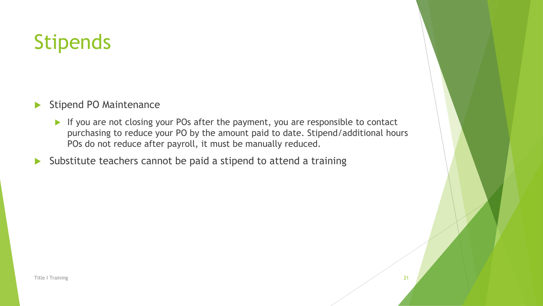- Stipend PO Maintenance
	- If you are not closing your POs after the payment, you are responsible to contact purchasing to reduce your PO by the amount paid to date. Stipend/additional hours POs do not reduce after payroll, it must be manually reduced.
- Substitute teachers cannot be paid a stipend to attend a training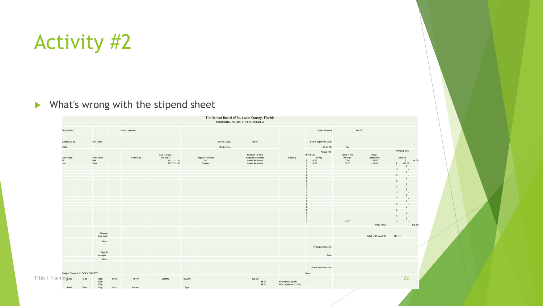# Activity #2

#### $\blacktriangleright$  What's wrong with the stipend sheet

|                                 |                              |                 |                          |                                | The School Board of St. Lucie County, Florida |                                     |                                           |                      |                |                            |                    |                          |
|---------------------------------|------------------------------|-----------------|--------------------------|--------------------------------|-----------------------------------------------|-------------------------------------|-------------------------------------------|----------------------|----------------|----------------------------|--------------------|--------------------------|
|                                 |                              |                 |                          |                                | ADDITIONAL HOURS/STIPEND REQUEST              |                                     |                                           |                      |                |                            |                    |                          |
|                                 |                              |                 |                          |                                |                                               |                                     |                                           |                      |                |                            |                    |                          |
| Description:                    |                              | Credit retrival |                          |                                |                                               |                                     |                                           | Dates Worked:        | $Jan-17$       |                            |                    |                          |
|                                 |                              |                 |                          |                                |                                               |                                     |                                           |                      |                |                            |                    |                          |
|                                 |                              |                 |                          |                                |                                               |                                     |                                           |                      |                |                            |                    |                          |
| Submitted By:                   | Sun Shine                    |                 |                          |                                | School/Dept:                                  | Title I                             |                                           | Board Approved Date: |                |                            |                    |                          |
| SRN#:                           |                              |                 |                          |                                | PO Number:                                    |                                     |                                           | Final PO:            | Yes            |                            |                    |                          |
|                                 |                              |                 |                          |                                |                                               |                                     |                                           | Partial PO :         |                |                            | <b>FINANCE USE</b> |                          |
|                                 |                              |                 | Last 4 digits            |                                |                                               | Position for this                   |                                           | <b>Hrly Rate</b>     | Total # Hrs    | Date:                      |                    |                          |
| Last Name<br>Ta                 | First Name<br>Nat            | Name Key        | Soc Sec #<br>111-11-1111 | <b>Regular Position</b><br>Sub |                                               | Request/Payment<br>Credit Retrieval | Building                                  | of Pay<br>$5$ 23.00  | Worked<br>2.00 | Completed<br>$1/30/17$     | Amount             | 46.00<br>s.              |
| Jen                             | Wolt                         |                 | 222-22-2222              | Teacher                        |                                               | Credit Retrieval                    |                                           | $5$ 23.00            | 20.00          | 1/30/17                    | S.                 | 460.00                   |
|                                 |                              |                 |                          |                                |                                               |                                     |                                           | $\Omega$             |                |                            |                    | $\mathsf{S}$             |
|                                 |                              |                 |                          |                                |                                               |                                     |                                           | $\Omega$             |                |                            | S.                 | <b>Contract Contract</b> |
|                                 |                              |                 |                          |                                |                                               |                                     |                                           |                      |                |                            |                    | <b>All Control</b>       |
|                                 |                              |                 |                          |                                |                                               |                                     |                                           |                      |                |                            |                    |                          |
|                                 |                              |                 |                          |                                |                                               |                                     |                                           |                      |                |                            |                    |                          |
|                                 |                              |                 |                          |                                |                                               |                                     |                                           |                      |                |                            |                    |                          |
|                                 |                              |                 |                          |                                |                                               |                                     |                                           |                      |                |                            |                    |                          |
|                                 |                              |                 |                          |                                |                                               |                                     |                                           |                      |                |                            |                    |                          |
|                                 |                              |                 |                          |                                |                                               |                                     |                                           |                      |                |                            |                    |                          |
|                                 |                              |                 |                          |                                |                                               |                                     |                                           |                      |                |                            |                    |                          |
|                                 |                              |                 |                          |                                |                                               |                                     |                                           |                      |                |                            |                    |                          |
|                                 |                              |                 |                          |                                |                                               |                                     |                                           |                      |                |                            |                    |                          |
|                                 |                              |                 |                          |                                |                                               |                                     |                                           |                      |                |                            |                    | All Controllers          |
|                                 |                              |                 |                          |                                |                                               |                                     |                                           |                      |                |                            |                    |                          |
|                                 |                              |                 |                          |                                |                                               |                                     |                                           |                      |                |                            |                    |                          |
|                                 |                              |                 |                          |                                |                                               |                                     |                                           |                      | 22.00          |                            |                    | and a state of           |
|                                 |                              |                 |                          |                                |                                               |                                     |                                           |                      |                | Page Total                 |                    |                          |
|                                 |                              |                 |                          |                                |                                               |                                     |                                           |                      |                |                            |                    |                          |
|                                 | Finance<br>Approval:         |                 |                          |                                |                                               |                                     |                                           |                      |                | <b>Total with Benefits</b> | 581.44             |                          |
|                                 |                              |                 |                          |                                |                                               |                                     |                                           |                      |                |                            |                    |                          |
|                                 | Date:                        |                 |                          |                                |                                               |                                     |                                           |                      |                |                            |                    |                          |
|                                 |                              |                 |                          |                                |                                               |                                     |                                           | Principal/Director:  |                |                            |                    |                          |
|                                 | Payroll                      |                 |                          |                                |                                               |                                     |                                           |                      |                |                            |                    |                          |
|                                 | Manager:                     |                 |                          |                                |                                               |                                     |                                           | Date:                |                |                            |                    |                          |
|                                 | Date:                        |                 |                          |                                |                                               |                                     |                                           |                      |                |                            |                    |                          |
|                                 |                              |                 |                          |                                |                                               |                                     |                                           |                      |                |                            |                    |                          |
|                                 |                              |                 |                          |                                |                                               |                                     |                                           | Grant Administrator: |                |                            |                    |                          |
|                                 |                              |                 |                          |                                |                                               |                                     |                                           |                      |                |                            |                    |                          |
| Budget Charged: PLEASE COMPLETE |                              |                 |                          |                                |                                               |                                     |                                           | Date:                |                |                            |                    |                          |
| Title   Training <sub>200</sub> | 6150<br>1280<br>2100<br>0545 | 46417           | 000000                   | 000000                         |                                               | 506.00                              |                                           |                      |                |                            |                    | 22                       |
|                                 | 2200                         |                 |                          |                                |                                               | 36.74<br>38.71                      | Retirement (2100)<br>FICA/Medicare (2200) |                      |                |                            |                    |                          |
|                                 |                              |                 |                          |                                |                                               |                                     |                                           |                      |                |                            |                    |                          |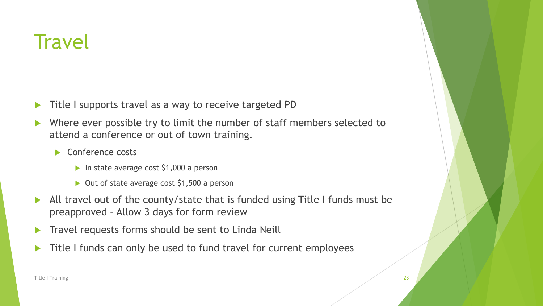- Title I supports travel as a way to receive targeted PD
- Where ever possible try to limit the number of staff members selected to attend a conference or out of town training.
	- Conference costs
		- In state average cost  $$1,000$  a person
		- $\triangleright$  Out of state average cost \$1,500 a person
- All travel out of the county/state that is funded using Title I funds must be preapproved – Allow 3 days for form review
- Travel requests forms should be sent to Linda Neill
- Title I funds can only be used to fund travel for current employees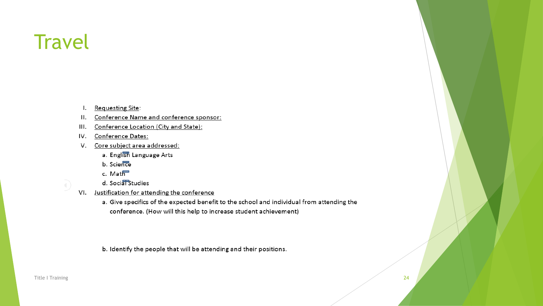- **Requesting Site:**  $\mathbf{I}$ .
- Conference Name and conference sponsor:  $II.$
- III. Conference Location (City and State):
- IV. Conference Dates:
- V. Core subject area addressed:
	- a. English Language Arts
	- b. Science
	- c. Math
	- d. Social Studies
- VI. Justification for attending the conference
	- a. Give specifics of the expected benefit to the school and individual from attending the conference. (How will this help to increase student achievement)

b. Identify the people that will be attending and their positions.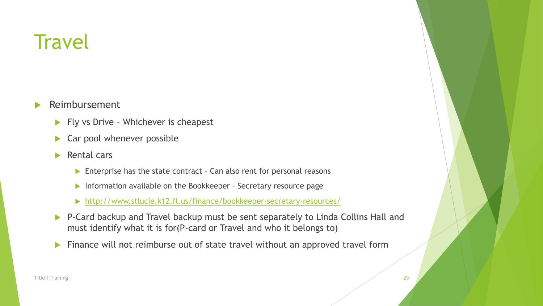- Reimbursement
	- $\blacktriangleright$  Fly vs Drive Whichever is cheapest
	- Car pool whenever possible
	- $\blacktriangleright$  Rental cars
		- ▶ Enterprise has the state contract Can also rent for personal reasons
		- Information available on the Bookkeeper Secretary resource page
		- <http://www.stlucie.k12.fl.us/finance/bookkeeper-secretary-resources/>
	- ▶ P-Card backup and Travel backup must be sent separately to Linda Collins Hall and must identify what it is for(P-card or Travel and who it belongs to)
	- **Finance will not reimburse out of state travel without an approved travel form**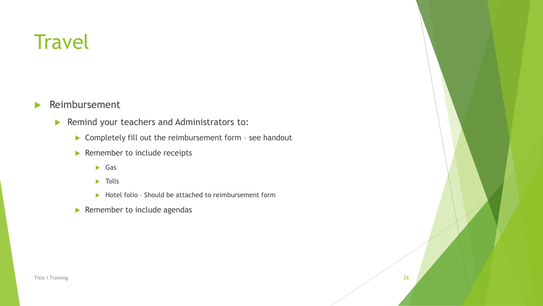**Reimbursement** 

- Remind your teachers and Administrators to:
	- ▶ Completely fill out the reimbursement form see handout
	- Remember to include receipts
		- Gas
		- $\blacktriangleright$  Tolls
		- ▶ Hotel folio Should be attached to reimbursement form
	- $\blacktriangleright$  Remember to include agendas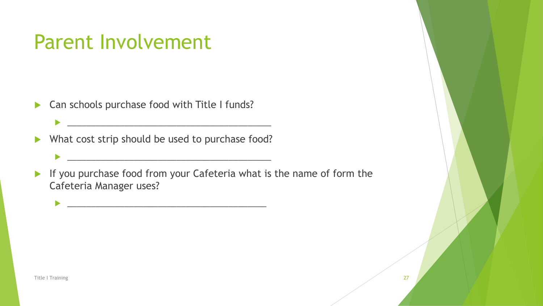#### Parent Involvement

▶ Can schools purchase food with Title I funds?

What cost strip should be used to purchase food?

\_\_\_\_\_\_\_\_\_\_\_\_\_\_\_\_\_\_\_\_\_\_\_\_\_\_\_\_\_\_\_\_\_\_\_\_\_\_\_\_\_\_\_

\_\_\_\_\_\_\_\_\_\_\_\_\_\_\_\_\_\_\_\_\_\_\_\_\_\_\_\_\_\_\_\_\_\_\_\_\_\_\_\_\_\_\_

 $\frac{1}{2}$  ,  $\frac{1}{2}$  ,  $\frac{1}{2}$  ,  $\frac{1}{2}$  ,  $\frac{1}{2}$  ,  $\frac{1}{2}$  ,  $\frac{1}{2}$  ,  $\frac{1}{2}$  ,  $\frac{1}{2}$  ,  $\frac{1}{2}$  ,  $\frac{1}{2}$  ,  $\frac{1}{2}$  ,  $\frac{1}{2}$  ,  $\frac{1}{2}$  ,  $\frac{1}{2}$  ,  $\frac{1}{2}$  ,  $\frac{1}{2}$  ,  $\frac{1}{2}$  ,  $\frac{1$ 

If you purchase food from your Cafeteria what is the name of form the Cafeteria Manager uses?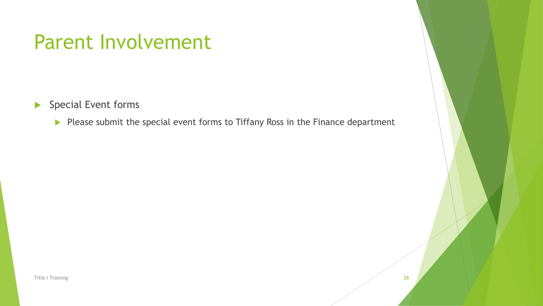#### Parent Involvement

Special Event forms

Please submit the special event forms to Tiffany Ross in the Finance department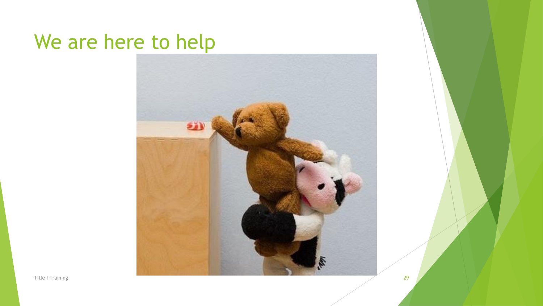#### We are here to help